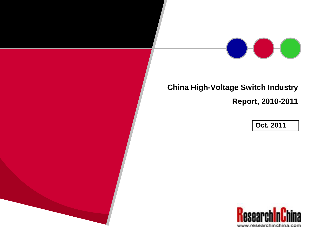

## **China High-Voltage Switch Industry**

**Report, 2010-2011**

**Oct. 2011**

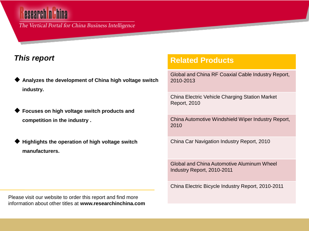# esearch n

The Vertical Portal for China Business Intelligence

### *This report*

- **Analyzes the development of China high voltage switch industry.**
- **Focuses on high voltage switch products and competition in the industry .**
- **Highlights the operation of high voltage switch manufacturers.**

**Related Products**

Global and China RF Coaxial Cable Industry Report, 2010-2013

China Electric Vehicle Charging Station Market Report, 2010

China Automotive Windshield Wiper Industry Report, 2010

China Car Navigation Industry Report, 2010

Global and China Automotive Aluminum Wheel Industry Report, 2010-2011

China Electric Bicycle Industry Report, 2010-2011

Please visit our website to order this report and find more information about other titles at **www.researchinchina.com**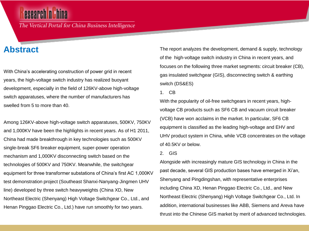## esearch n**ithina**

The Vertical Portal for China Business Intelligence

### **Abstract**

With China's accelerating construction of power grid in recent years, the high-voltage switch industry has realized buoyant development, especially in the field of 126KV-above high-voltage switch apparatuses, where the number of manufacturers has swelled from 5 to more than 40.

Among 126KV-above high-voltage switch apparatuses, 500KV, 750KV and 1,000KV have been the highlights in recent years. As of H1 2011, China had made breakthrough in key technologies such as 500KV single-break SF6 breaker equipment, super-power operation mechanism and 1,000KV disconnecting switch based on the technologies of 500KV and 750KV. Meanwhile, the switchgear equipment for three transformer substations of China's first AC 1,000KV test demonstration project (Southeast Shanxi-Nanyang-Jingmen UHV line) developed by three switch heavyweights (China XD, New Northeast Electric (Shenyang) High Voltage Switchgear Co., Ltd., and Henan Pinggao Electric Co., Ltd.) have run smoothly for two years.

The report analyzes the development, demand & supply, technology of the high-voltage switch industry in China in recent years, and focuses on the following three market segments: circuit breaker (CB), gas insulated switchgear (GIS), disconnecting switch & earthing switch (DS&ES)

1. CB

With the popularity of oil-free switchgears in recent years, highvoltage CB products such as SF6 CB and vacuum circuit breaker (VCB) have won acclaims in the market. In particular, SF6 CB equipment is classified as the leading high-voltage and EHV and UHV product system in China, while VCB concentrates on the voltage of 40.5KV or below.

2. GIS

Alongside with increasingly mature GIS technology in China in the past decade, several GIS production bases have emerged in Xi'an, Shenyang and Pingdingshan, with representative enterprises including China XD, Henan Pinggao Electric Co., Ltd., and New Northeast Electric (Shenyang) High Voltage Switchgear Co., Ltd. In addition, international businesses like ABB, Siemens and Areva have thrust into the Chinese GIS market by merit of advanced technologies.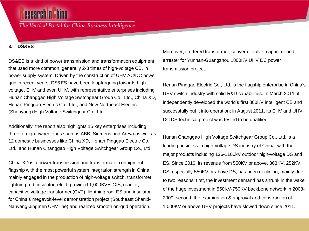The Vertical Portal for China Business Intelligence

#### **3. DS&ES**

DS&ES is a kind of power transmission and transformation equipment that used more common, generally 2-3 times of high-voltage CB, in power supply system. Driven by the construction of UHV AC/DC power grid in recent years, DS&ES have been leapfrogging towards high voltage, EHV and even UHV, with representative enterprises including Hunan Changgao High Voltage Switchgear Group Co., Ltd., China XD, Henan Pinggao Electric Co., Ltd., and New Northeast Electric (Shenyang) High Voltage Switchgear Co., Ltd.

Additionally, the report also highlights 15 key enterprises including three foreign-owned ones such as ABB, Siemens and Areva as well as 12 domestic businesses like China XD, Henan Pinggao Electric Co., Ltd., and Hunan Changgao High Voltage Switchgear Group Co., Ltd.

China XD is a power transmission and transformation equipment flagship with the most powerful system integration strength in China, mainly engaged in the production of high-voltage switch, transformer, lightning rod, insulator, etc. It provided 1,000KVH-GIS, reactor, capacitive voltage transformer (CVT), lightning rod, ES and insulator for China's megavolt-level demonstration project (Southeast Shanxi-Nanyang-Jingmen UHV line) and realized smooth on-grid operation.

Moreover, it offered transformer, converter valve, capacitor and arrester for Yunnan-Guangzhou ±800KV UHV DC power transmission project.

Henan Pinggao Electric Co., Ltd. is the flagship enterprise in China's UHV switch industry with solid R&D capabilities. In March 2011, it independently developed the world's first 800KV intelligent CB and successfully put it into operation; in August 2011, its EHV and UHV DC DS technical project was tested to be qualified.

Hunan Changgao High Voltage Switchgear Group Co., Ltd. is a leading business in high-voltage DS industry of China, with the major products including 126-1100kV outdoor high-voltage DS and ES. Since 2010, its revenue from 550KV or above, 363KV, 252KV DS, especially 550KV or above DS, has been declining, mainly due to two reasons: first, the investment demand has shrunk in the wake of the huge investment in 550KV-750KV backbone network in 2008- 2009; second, the examination & approval and construction of 1,000KV or above UHV projects have slowed down since 2011.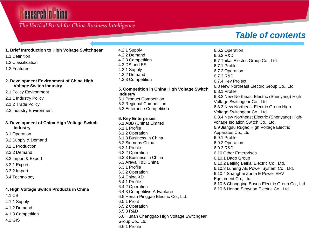## **esearch ni hina**

### The Vertical Portal for China Business Intelligence

## *Table of contents*

#### **1. Brief Introduction to High Voltage Switchgear**

- 1.1 Definition
- 1.2 Classification
- 1.3 Features

#### **2. Development Environment of China High Voltage Switch Industry**

- 2.1 Policy Environment
- 2.1.1 Industry Policy
- 2.1.2 Trade Policy
- 2.2 Industry Environment

#### **3. Development of China High Voltage Switch Industry**

- 3.1 Operation
- 3.2 Supply & Demand
- 3.2.1 Production
- 3.2.2 Demand
- 3.3 Import & Export
- 3.3.1 Export
- 3.3.2 Import
- 3.4 Technology

#### **4. High Voltage Switch Products in China**

- 4.1 CB
- 4.1.1 Supply
- 4.1.2 Demand
- 4.1.3 Competition
- 4.2 GIS

4.2.1 Supply 4.2.2 Demand 4.2.3 Competition 4.3 DS and ES 4.3.1 Supply 4.3.2 Demand 4.3.3 Competition

#### **5. Competition in China High Voltage Switch Industry**

5.1 Product Competition 5.2 Regional Competition 5.3 Enterprise Competition

#### **6. Key Enterprises**

6.1 ABB (China) Limited 6.1.1 Profile 6.1.2 Operation 6.1.3 Business in China 6.2 Siemens China 6.2.1 Profile 6.2.2 Operation 6.2.3 Business in China 6.3 Areva T&D China 6.3.1 Profile 6.3.2 Operation 6.4 China XD 6.4.1 Profile 6.4.2 Operation 6.4.3 Competitive Advantage 6.5 Henan Pinggao Electric Co., Ltd. 6.5.1 Profit 6.5.2 Operation 6.5.3 R&D 6.6 Hunan Changgao High Voltage Switchgear Group Co., Ltd. 6.6.1 Profile

6.6.2 Operation 6.6.3 R&D 6.7 Taikai Electric Group Co., Ltd. 6.7.1 Profile 6.7.2 Operation 6.7.3 R&D 6.7.4 Key Project 6.8 New Northeast Electric Group Co., Ltd. 6.8.1 Profile 6.8.2 New Northeast Electric (Shenyang) High Voltage Switchgear Co., Ltd 6.8.3 New Northeast Electric Group High Voltage Switchgear Co., Ltd 6.8.4 New Northeast Electric (Shenyang) Highvoltage Isolation Switch Co., Ltd. 6.9 Jiangsu Rugao High Voltage Electric Apparatus Co., Ltd. 6.9.1 Profile 6.9.2 Operation 6.9.3 R&D 6.10 Other Enterprises 6.10.1 Daqo Group 6.10.2 Beijing Beikai Electric Co., Ltd. 6.10.3 Luneng AE Power System Co., Ltd. 6.10.4 Shanghai Zonfa E Power EHV Equipment Co., Ltd. 6.10.5 Chongqing Bosen Electric Group Co., Ltd. 6.10.6 Henan Senyuan Electric Co., Ltd.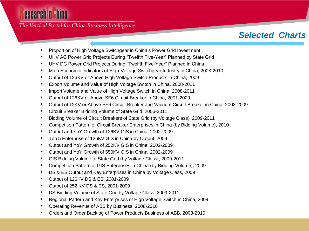The Vertical Portal for China Business Intelligence

## *Selected Charts*

- Proportion of High Voltage Switchgear in China's Power Grid Investment
- UHV AC Power Grid Projects During "Twelfth Five-Year" Planned by State Grid
- UHV DC Power Grid Projects During "Twelfth Five-Year" Planned in China
- Main Economic Indicators of High-Voltage Switchgear Industry in China, 2008-2010
- Output of 126KV or Above High Voltage Switch Products in China, 2009
- Export Volume and Value of High Voltage Switch in China, 2008-2011
- Import Volume and Value of High Voltage Switch in China, 2008-2011
- Output of 126KV or Above SF6 Circuit Breaker in China, 2001-2009
- Output of 12KV or Above SF6 Circuit Breaker and Vacuum Circuit Breaker in China, 2008-2009
- Circuit Breaker Bidding Volume of State Grid, 2006-2011
- Bidding Volume of Circuit Breakers of State Grid (by Voltage Class), 2009-2011
- Competition Pattern of Circuit Breaker Enterprises in China (by Bidding Volume), 2010
- Output and YoY Growth of 126KV GIS in China, 2002-2009
- Top 5 Enterprise of 126KV GIS in China by Output, 2009
- Output and YoY Growth of 252KV GIS in China, 2002-2009
- Output and YoY Growth of 550KV GIS in China, 2002-2009
- GIS Bidding Volume of State Grid (by Voltage Class), 2009-2011
- Competition Pattern of GIS Enterprises in China (by Bidding Volume), 2009
- DS & ES Output and Key Enterprises in China by Voltage Class, 2009
- Output of 126KV DS & ES, 2001-2009
- Output of 252 KV DS & ES, 2001-2009
- DS Bidding Volume of State Grid by Voltage Class, 2009-2011
- Regional Pattern and Key Enterprises of High Voltage Switch in China, 2009
- Operating Revenue of ABB by Business, 2008-2010
- Orders and Order Backlog of Power Products Business of ABB, 2008-2010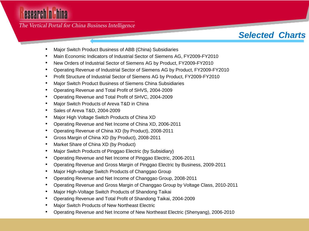The Vertical Portal for China Business Intelligence

## *Selected Charts*

- Major Switch Product Business of ABB (China) Subsidiaries
- Main Economic Indicators of Industrial Sector of Siemens AG, FY2009-FY2010
- New Orders of Industrial Sector of Siemens AG by Product, FY2009-FY2010
- Operating Revenue of Industrial Sector of Siemens AG by Product, FY2009-FY2010
- Profit Structure of Industrial Sector of Siemens AG by Product, FY2009-FY2010
- Major Switch Product Business of Siemens China Subsidiaries
- Operating Revenue and Total Profit of SHVS, 2004-2009
- Operating Revenue and Total Profit of SHVC, 2004-2009
- Major Switch Products of Areva T&D in China
- Sales of Areva T&D, 2004-2009
- Major High Voltage Switch Products of China XD
- Operating Revenue and Net Income of China XD, 2006-2011
- Operating Revenue of China XD (by Product), 2008-2011
- Gross Margin of China XD (by Product), 2008-2011
- Market Share of China XD (by Product)
- Major Switch Products of Pinggao Electric (by Subsidiary)
- Operating Revenue and Net Income of Pinggao Electric, 2006-2011
- Operating Revenue and Gross Margin of Pinggao Electric by Business, 2009-2011
- Major High-voltage Switch Products of Changgao Group
- Operating Revenue and Net Income of Changgao Group, 2008-2011
- Operating Revenue and Gross Margin of Changgao Group by Voltage Class, 2010-2011
- Major High-Voltage Switch Products of Shandong Taikai
- Operating Revenue and Total Profit of Shandong Taikai, 2004-2009
- Major Switch Products of New Northeast Electric
- Operating Revenue and Net Income of New Northeast Electric (Shenyang), 2006-2010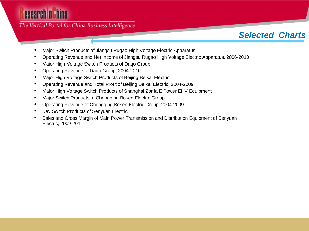The Vertical Portal for China Business Intelligence

### *Selected Charts*

- Major Switch Products of Jiangsu Rugao High Voltage Electric Apparatus
- Operating Revenue and Net Income of Jiangsu Rugao High Voltage Electric Apparatus, 2006-2010
- Major High-Voltage Switch Products of Daqo Group
- Operating Revenue of Daqo Group, 2004-2010
- Major High Voltage Switch Products of Beijing Beikai Electric
- Operating Revenue and Total Profit of Beijing Beikai Electric, 2004-2009
- Major High Voltage Switch Products of Shanghai Zonfa E Power EHV Equipment
- Major Switch Products of Chongqing Bosen Electric Group
- Operating Revenue of Chongqing Bosen Electric Group, 2004-2009
- Key Switch Products of Senyuan Electric
- Sales and Gross Margin of Main Power Transmission and Distribution Equipment of Senyuan Electric, 2009-2011